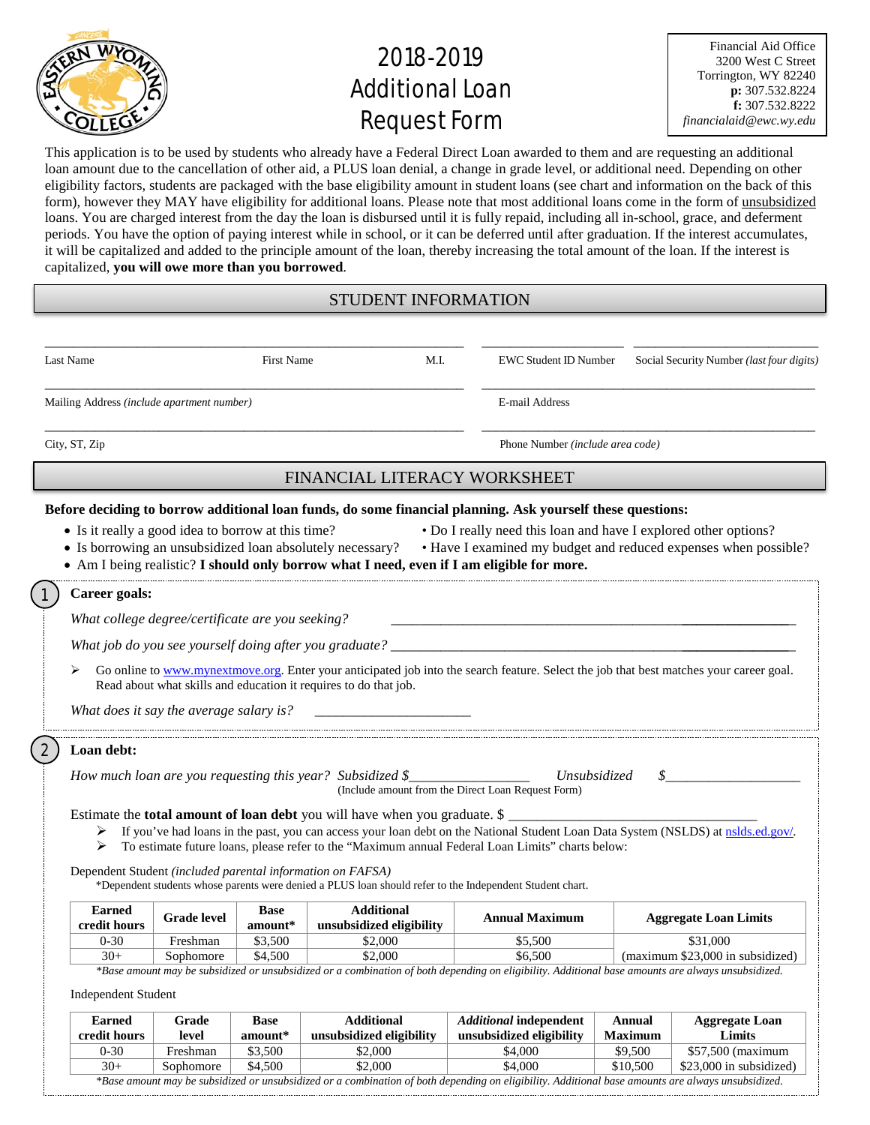

# 2018-2019 **Additional Loan** Request Form

Financial Aid Office 3200 West C Street Torrington, WY 82240 **p:** 307.532.8224 **f:** 307.532.8222 *financialaid@ewc.wy.edu*

This application is to be used by students who already have a Federal Direct Loan awarded to them and are requesting an additional loan amount due to the cancellation of other aid, a PLUS loan denial, a change in grade level, or additional need. Depending on other eligibility factors, students are packaged with the base eligibility amount in student loans (see chart and information on the back of this form), however they MAY have eligibility for additional loans. Please note that most additional loans come in the form of unsubsidized loans. You are charged interest from the day the loan is disbursed until it is fully repaid, including all in-school, grace, and deferment periods. You have the option of paying interest while in school, or it can be deferred until after graduation. If the interest accumulates, it will be capitalized and added to the principle amount of the loan, thereby increasing the total amount of the loan. If the interest is capitalized, **you will owe more than you borrowed**.

#### STUDENT INFORMATION

| Last Name                                          |                    | <b>First Name</b>      | M.I.                                                                                                                                             | <b>EWC Student ID Number</b>                                                                                                                                                                            | Social Security Number (last four digits)                                                                                               |  |  |  |  |
|----------------------------------------------------|--------------------|------------------------|--------------------------------------------------------------------------------------------------------------------------------------------------|---------------------------------------------------------------------------------------------------------------------------------------------------------------------------------------------------------|-----------------------------------------------------------------------------------------------------------------------------------------|--|--|--|--|
| Mailing Address (include apartment number)         |                    |                        | E-mail Address                                                                                                                                   |                                                                                                                                                                                                         |                                                                                                                                         |  |  |  |  |
| City, ST, Zip                                      |                    |                        |                                                                                                                                                  | Phone Number (include area code)                                                                                                                                                                        |                                                                                                                                         |  |  |  |  |
|                                                    |                    |                        | FINANCIAL LITERACY WORKSHEET                                                                                                                     |                                                                                                                                                                                                         |                                                                                                                                         |  |  |  |  |
| • Is it really a good idea to borrow at this time? |                    |                        | • Is borrowing an unsubsidized loan absolutely necessary?                                                                                        | Before deciding to borrow additional loan funds, do some financial planning. Ask yourself these questions:<br>• Am I being realistic? I should only borrow what I need, even if I am eligible for more. | • Do I really need this loan and have I explored other options?<br>• Have I examined my budget and reduced expenses when possible?      |  |  |  |  |
| Career goals:                                      |                    |                        |                                                                                                                                                  |                                                                                                                                                                                                         |                                                                                                                                         |  |  |  |  |
| What college degree/certificate are you seeking?   |                    |                        |                                                                                                                                                  |                                                                                                                                                                                                         |                                                                                                                                         |  |  |  |  |
|                                                    |                    |                        |                                                                                                                                                  |                                                                                                                                                                                                         |                                                                                                                                         |  |  |  |  |
| ⋗<br>What does it say the average salary is?       |                    |                        | Read about what skills and education it requires to do that job.                                                                                 |                                                                                                                                                                                                         | Go online to www.mynextmove.org. Enter your anticipated job into the search feature. Select the job that best matches your career goal. |  |  |  |  |
| Loan debt:                                         |                    |                        |                                                                                                                                                  |                                                                                                                                                                                                         |                                                                                                                                         |  |  |  |  |
|                                                    |                    |                        | How much loan are you requesting this year? Subsidized $\S$<br>Estimate the <b>total amount of loan debt</b> you will have when you graduate. \$ | <i>Unsubsidized</i><br>(Include amount from the Direct Loan Request Form)                                                                                                                               | S                                                                                                                                       |  |  |  |  |
| ➤                                                  |                    |                        |                                                                                                                                                  | To estimate future loans, please refer to the "Maximum annual Federal Loan Limits" charts below:                                                                                                        | If you've had loans in the past, you can access your loan debt on the National Student Loan Data System (NSLDS) at nslds.ed.gov/.       |  |  |  |  |
|                                                    |                    |                        | Dependent Student (included parental information on FAFSA)                                                                                       | *Dependent students whose parents were denied a PLUS loan should refer to the Independent Student chart.                                                                                                |                                                                                                                                         |  |  |  |  |
| <b>Earned</b><br>credit hours                      | <b>Grade level</b> | <b>Base</b><br>amount* | <b>Additional</b><br>unsubsidized eligibility                                                                                                    | <b>Annual Maximum</b>                                                                                                                                                                                   | <b>Aggregate Loan Limits</b>                                                                                                            |  |  |  |  |
| $0 - 30$                                           | Freshman           | \$3,500                | \$2,000                                                                                                                                          | \$5,500                                                                                                                                                                                                 | \$31,000                                                                                                                                |  |  |  |  |
| $30+$                                              | Sophomore          | \$4.500                | \$2,000                                                                                                                                          | \$6.500                                                                                                                                                                                                 | (maximum \$23,000 in subsidized)                                                                                                        |  |  |  |  |

| <b>Earned</b><br>credit hours                                                                                                                      | Grade<br>level | <b>Base</b><br>$amount*$ | <b>Additional</b><br>unsubsidized eligibility | <i><b>Additional independent</b></i><br>unsubsidized eligibility | Annual<br><b>Maximum</b> | <b>Aggregate Loan</b><br>Limits |  |  |  |
|----------------------------------------------------------------------------------------------------------------------------------------------------|----------------|--------------------------|-----------------------------------------------|------------------------------------------------------------------|--------------------------|---------------------------------|--|--|--|
| $0 - 30$                                                                                                                                           | Freshman       | \$3,500                  | \$2,000                                       | \$4,000                                                          | \$9,500                  | \$57,500 (maximum               |  |  |  |
| $30+$                                                                                                                                              | Sophomore      | \$4,500                  | \$2,000                                       | \$4,000                                                          | \$10.500                 | \$23,000 in subsidized)         |  |  |  |
| *Base amount may be subsidized or unsubsidized or a combination of both depending on eligibility. Additional base amounts are always unsubsidized. |                |                          |                                               |                                                                  |                          |                                 |  |  |  |